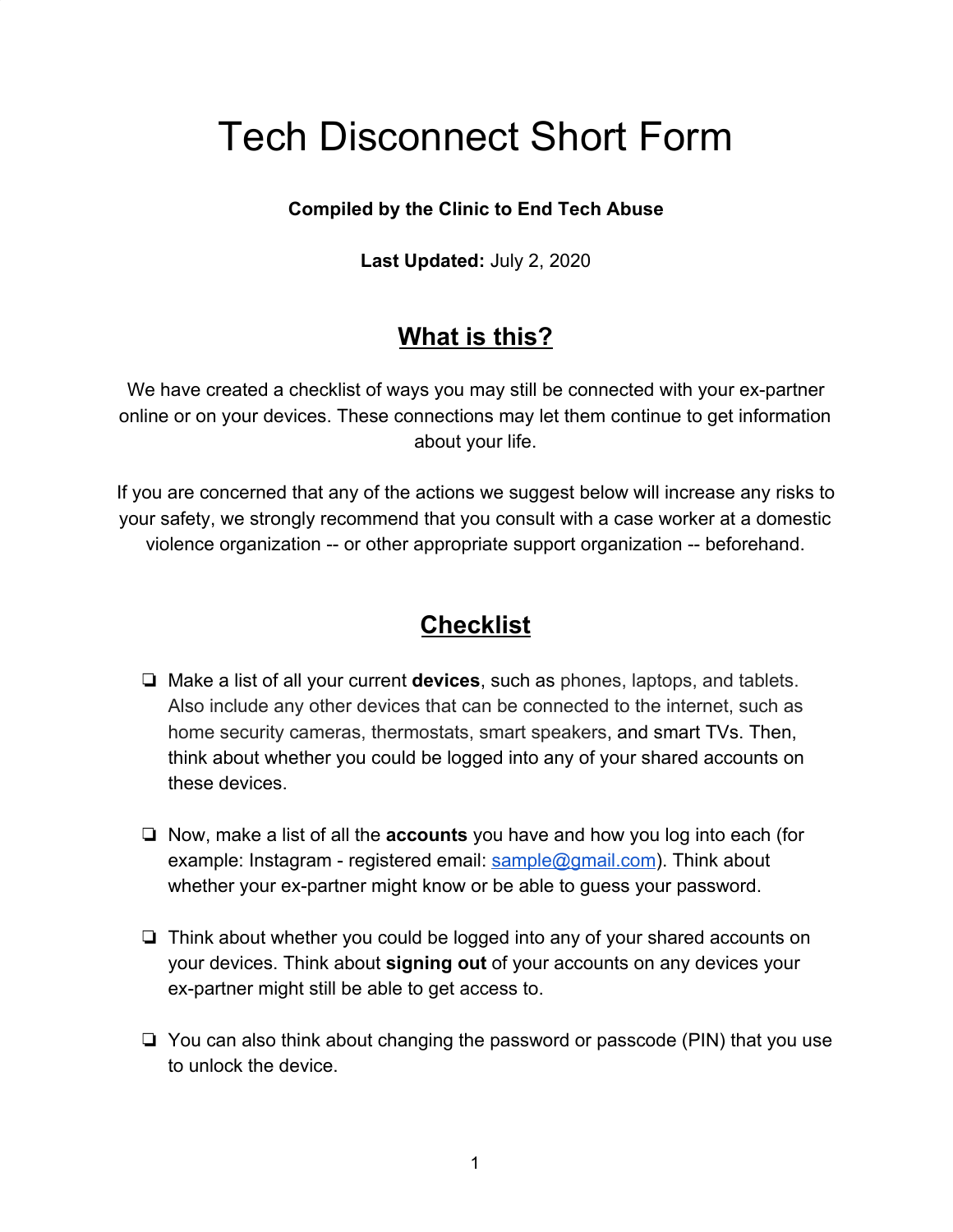# Tech Disconnect Short Form

### **Compiled by the Clinic to End Tech Abuse**

**Last Updated:** July 2, 2020

# **What is this?**

We have created a checklist of ways you may still be connected with your ex-partner online or on your devices. These connections may let them continue to get information about your life.

If you are concerned that any of the actions we suggest below will increase any risks to your safety, we strongly recommend that you consult with a case worker at a domestic violence organization -- or other appropriate support organization -- beforehand.

# **Checklist**

- ❏ Make a list of all your current **devices**, such as phones, laptops, and tablets. Also include any other devices that can be connected to the internet, such as home security cameras, thermostats, smart speakers, and smart TVs. Then, think about whether you could be logged into any of your shared accounts on these devices.
- ❏ Now, make a list of all the **accounts** you have and how you log into each (for example: Instagram - registered email: sample@gmail.com). Think about whether your ex-partner might know or be able to guess your password.
- ❏ Think about whether you could be logged into any of your shared accounts on your devices. Think about **signing out** of your accounts on any devices your ex-partner might still be able to get access to.
- ❏ You can also think about changing the password or passcode (PIN) that you use to unlock the device.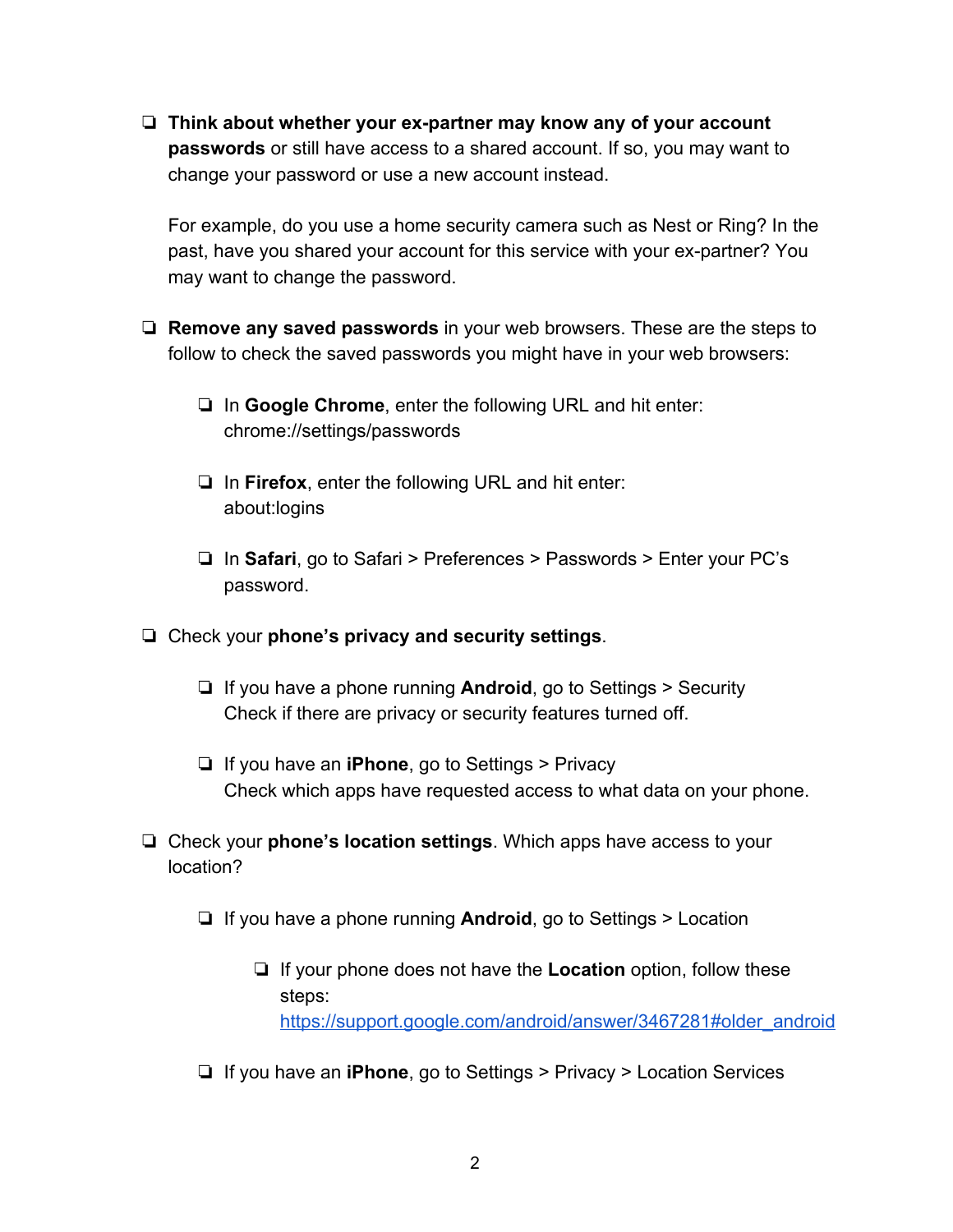❏ **Think about whether your ex-partner may know any of your account passwords** or still have access to a shared account. If so, you may want to change your password or use a new account instead.

For example, do you use a home security camera such as Nest or Ring? In the past, have you shared your account for this service with your ex-partner? You may want to change the password.

- ❏ **Remove any saved passwords** in your web browsers. These are the steps to follow to check the saved passwords you might have in your web browsers:
	- ❏ In **Google Chrome**, enter the following URL and hit enter: chrome://settings/passwords
	- ❏ In **Firefox**, enter the following URL and hit enter: about:logins
	- ❏ In **Safari**, go to Safari > Preferences > Passwords > Enter your PC's password.
- ❏ Check your **phone's privacy and security settings**.
	- ❏ If you have a phone running **Android**, go to Settings > Security Check if there are privacy or security features turned off.
	- ❏ If you have an **iPhone**, go to Settings > Privacy Check which apps have requested access to what data on your phone.
- ❏ Check your **phone's location settings**. Which apps have access to your location?
	- ❏ If you have a phone running **Android**, go to Settings > Location
		- ❏ If your phone does not have the **Location** option, follow these steps: https://support.google.com/android/answer/3467281#older\_android
	- ❏ If you have an **iPhone**, go to Settings > Privacy > Location Services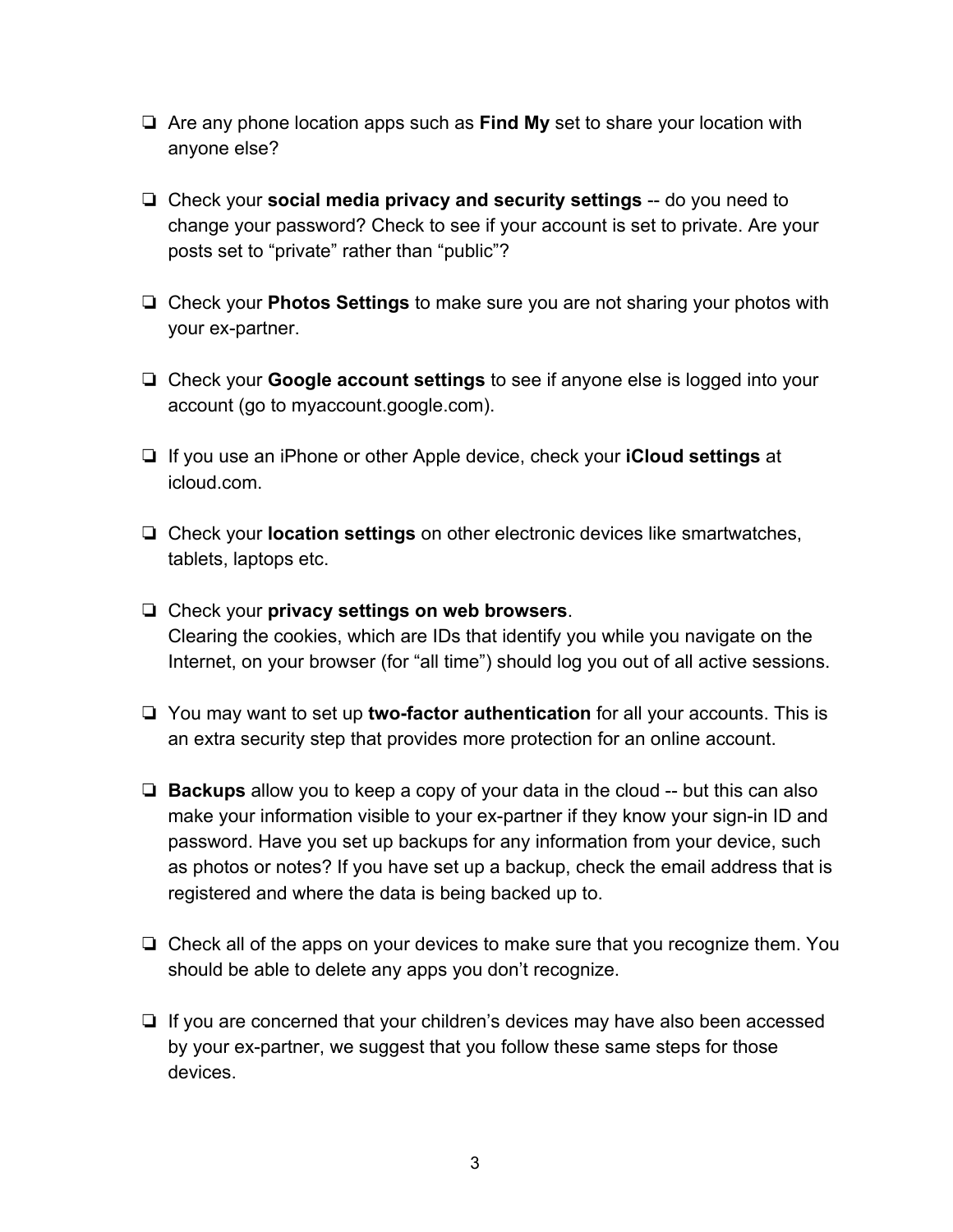- ❏ Are any phone location apps such as **Find My** set to share your location with anyone else?
- ❏ Check your **social media privacy and security settings** -- do you need to change your password? Check to see if your account is set to private. Are your posts set to "private" rather than "public"?
- ❏ Check your **Photos Settings** to make sure you are not sharing your photos with your ex-partner.
- ❏ Check your **Google account settings** to see if anyone else is logged into your account (go to myaccount.google.com).
- ❏ If you use an iPhone or other Apple device, check your **iCloud settings** at icloud.com.
- ❏ Check your **location settings** on other electronic devices like smartwatches, tablets, laptops etc.
- ❏ Check your **privacy settings on web browsers**. Clearing the cookies, which are IDs that identify you while you navigate on the Internet, on your browser (for "all time") should log you out of all active sessions.
- ❏ You may want to set up **two-factor authentication** for all your accounts. This is an extra security step that provides more protection for an online account.
- ❏ **Backups** allow you to keep a copy of your data in the cloud -- but this can also make your information visible to your ex-partner if they know your sign-in ID and password. Have you set up backups for any information from your device, such as photos or notes? If you have set up a backup, check the email address that is registered and where the data is being backed up to.
- ❏ Check all of the apps on your devices to make sure that you recognize them. You should be able to delete any apps you don't recognize.
- ❏ If you are concerned that your children's devices may have also been accessed by your ex-partner, we suggest that you follow these same steps for those devices.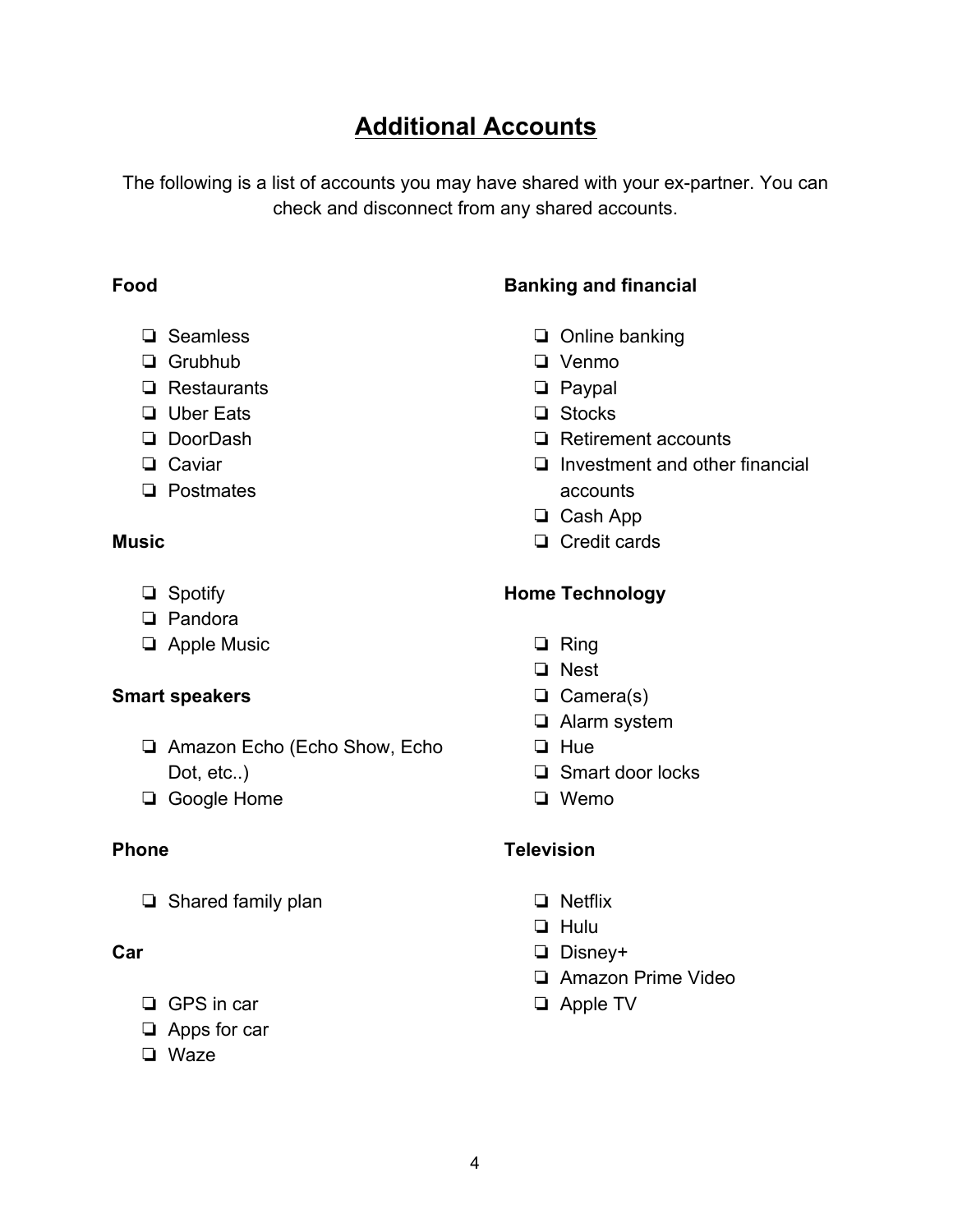## **Additional Accounts**

The following is a list of accounts you may have shared with your ex-partner. You can check and disconnect from any shared accounts.

#### **Food**

- ❏ Seamless
- ❏ Grubhub
- ❏ Restaurants
- ❏ Uber Eats
- ❏ DoorDash
- ❏ Caviar
- ❏ Postmates

#### **Music**

- ❏ Spotify
- ❏ Pandora
- ❏ Apple Music

#### **Smart speakers**

- ❏ Amazon Echo (Echo Show, Echo Dot, etc..)
- ❏ Google Home

#### **Phone**

❏ Shared family plan

#### **Car**

- ❏ GPS in car
- ❏ Apps for car
- ❏ Waze

## **Banking and financial**

- ❏ Online banking
- ❏ Venmo
- ❏ Paypal
- ❏ Stocks
- ❏ Retirement accounts
- ❏ Investment and other financial accounts
- ❏ Cash App
- ❏ Credit cards

#### **Home Technology**

- ❏ Ring
- ❏ Nest
- ❏ Camera(s)
- ❏ Alarm system
- ❏ Hue
- ❏ Smart door locks
- ❏ Wemo

#### **Television**

- ❏ Netflix
- ❏ Hulu
- ❏ Disney+
- ❏ Amazon Prime Video
- ❏ Apple TV